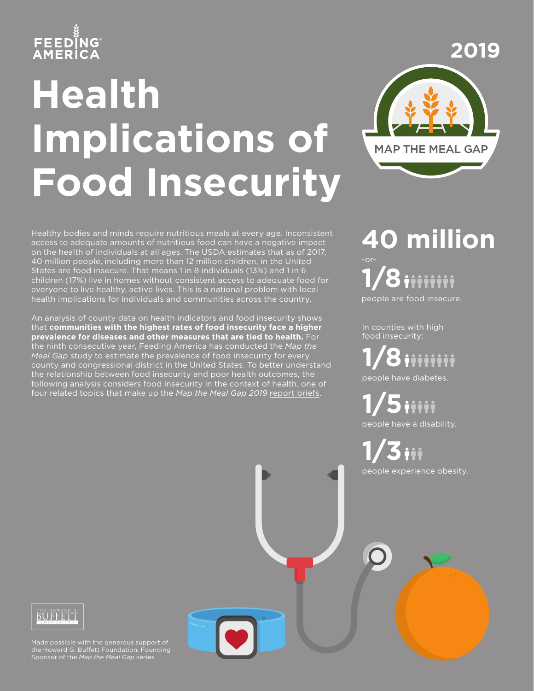## **FEEDÏNG**<br>AMERICA

# **Health Implications of Food Insecurity**



Healthy bodies and minds require nutritious meals at every age. Inconsistent access to adequate amounts of nutritious food can have a negative impact on the health of individuals at all ages. The USDA estimates that as of 2017, 40 million people, including more than 12 million children, in the United States are food insecure. That means 1 in 8 individuals (13%) and 1 in 6 children (17%) live in homes without consistent access to adequate food for everyone to live healthy, active lives. This is a national problem with local health implications for individuals and communities across the country.

An analysis of county data on health indicators and food insecurity shows that **communities with the highest rates of food insecurity face a higher prevalence for diseases and other measures that are tied to health.** For the ninth consecutive year, Feeding America has conducted the *Map the Meal Gap* study to estimate the prevalence of food insecurity for every county and congressional district in the United States. To better understand the relationship between food insecurity and poor health outcomes, the following analysis considers food insecurity in the context of health, one of four related topics that make up the *Map the Meal Gap 2019* [report briefs.](https://www.feedingamerica.org/research/map-the-meal-gap/overall-executive-summary)

**40 million 1/8** people are food insecure.

In counties with high food insecurity:

**1/8** people have diabetes.

**1/5** people have a disability.

**1/3** people experience obesity.

### BUFFFTT

Made possible with the generous support of the Howard G. Buffett Foundation, Founding Sponsor of the *Map the Meal Gap* series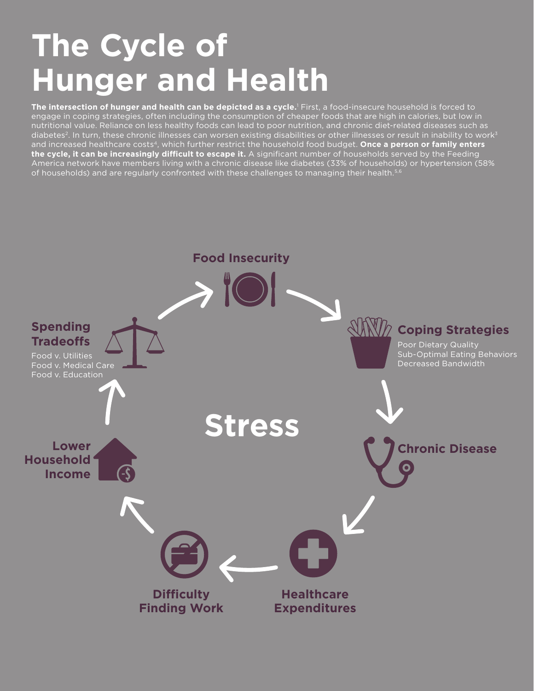### **The Cycle of Hunger and Health**

**The intersection of hunger and health can be depicted as a cycle.**<sup>1</sup> First, a food-insecure household is forced to engage in coping strategies, often including the consumption of cheaper foods that are high in calories, but low in nutritional value. Reliance on less healthy foods can lead to poor nutrition, and chronic diet-related diseases such as diabetes<sup>2</sup>. In turn, these chronic illnesses can worsen existing disabilities or other illnesses or result in inability to work<sup>3</sup> and increased healthcare costs4, which further restrict the household food budget. **Once a person or family enters the cycle, it can be increasingly difficult to escape it.** A significant number of households served by the Feeding America network have members living with a chronic disease like diabetes (33% of households) or hypertension (58% of households) and are regularly confronted with these challenges to managing their health.<sup>5,6</sup>

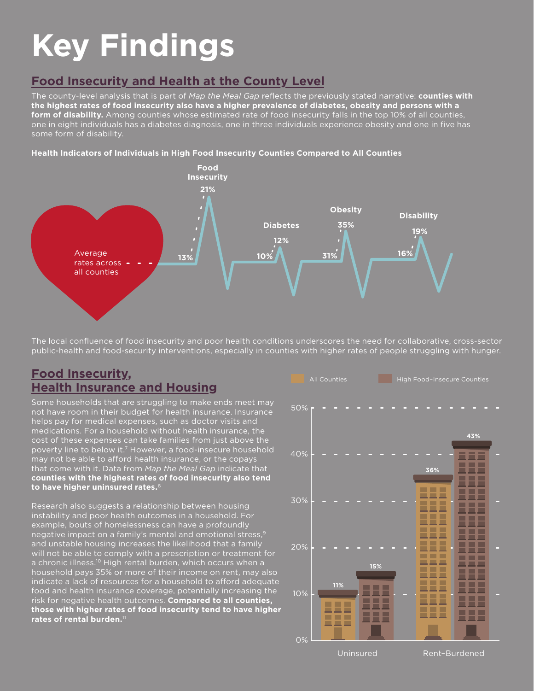## **Key Findings**

#### **Food Insecurity and Health at the County Level**

The county-level analysis that is part of *Map the Meal Gap* reflects the previously stated narrative: **counties with the highest rates of food insecurity also have a higher prevalence of diabetes, obesity and persons with a form of disability.** Among counties whose estimated rate of food insecurity falls in the top 10% of all counties, one in eight individuals has a diabetes diagnosis, one in three individuals experience obesity and one in five has some form of disability.

#### **Health Indicators of Individuals in High Food Insecurity Counties Compared to All Counties**



The local confluence of food insecurity and poor health conditions underscores the need for collaborative, cross-sector public-health and food-security interventions, especially in counties with higher rates of people struggling with hunger.

#### **Food Insecurity, Health Insurance and Housing**

Some households that are struggling to make ends meet may not have room in their budget for health insurance. Insurance helps pay for medical expenses, such as doctor visits and medications. For a household without health insurance, the cost of these expenses can take families from just above the poverty line to below it.7 However, a food-insecure household may not be able to afford health insurance, or the copay that come with it. Data from *Map the Meal Gap* indicate that **counties with the highest rates of food insecurity also tend**  to have higher uninsured rates.

Research also suggests a relationship between housing instability and poor health outcomes in a household. I example, bouts of homelessness can have a profoundly negative impact on a family's mental and emotional stress,9 and unstable housing increases the likelihood that a family will not be able to comply with a prescription or treatment for a chronic illness.<sup>10</sup> High rental burden, which occurs when a household pays 35% or more of their income on rent, may also indicate a lack of resources for a household to afford adequate food and health insurance coverage, potentially increasing the risk for negative health outcomes. **Compared to all counties, those with higher rates of food insecurity tend to have higher rates of rental burden.**<sup>11</sup>



Uninsured Rent–Burdened